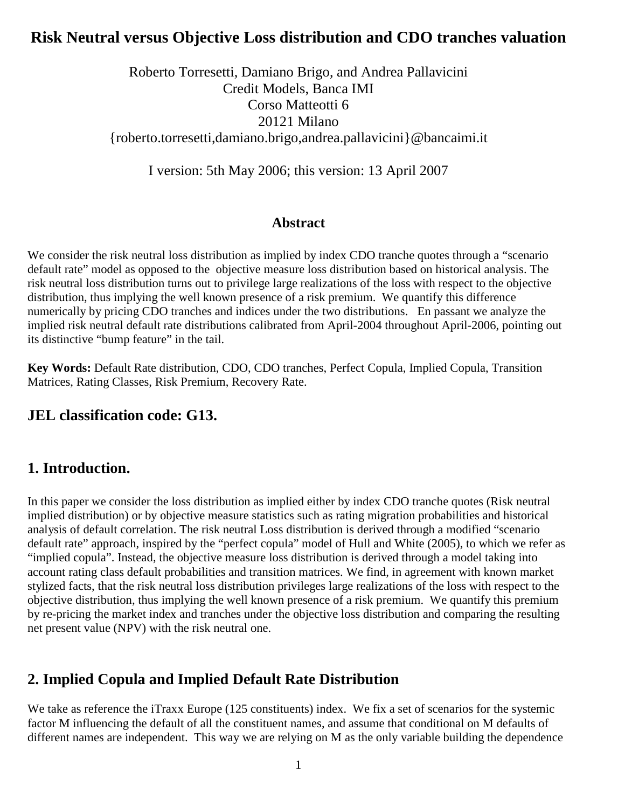## **Risk Neutral versus Objective Loss distribution and CDO tranches valuation**

Roberto Torresetti, Damiano Brigo, and Andrea Pallavicini Credit Models, Banca IMI Corso Matteotti 6 20121 Milano {roberto.torresetti,damiano.brigo,andrea.pallavicini}@bancaimi.it

I version: 5th May 2006; this version: 13 April 2007

#### **Abstract**

We consider the risk neutral loss distribution as implied by index CDO tranche quotes through a "scenario" default rate" model as opposed to the objective measure loss distribution based on historical analysis. The risk neutral loss distribution turns out to privilege large realizations of the loss with respect to the objective distribution, thus implying the well known presence of a risk premium. We quantify this difference numerically by pricing CDO tranches and indices under the two distributions. En passant we analyze the implied risk neutral default rate distributions calibrated from April-2004 throughout April-2006, pointing out its distinctive "bump feature" in the tail.

**Key Words:** Default Rate distribution, CDO, CDO tranches, Perfect Copula, Implied Copula, Transition Matrices, Rating Classes, Risk Premium, Recovery Rate.

#### **JEL classification code: G13.**

## **1. Introduction.**

In this paper we consider the loss distribution as implied either by index CDO tranche quotes (Risk neutral implied distribution) or by objective measure statistics such as rating migration probabilities and historical analysis of default correlation. The risk neutral Loss distribution is derived through a modified "scenario default rate" approach, inspired by the "perfect copula" model of Hull and White (2005), to which we refer as "implied copula". Instead, the objective measure loss distribution is derived through a model taking into account rating class default probabilities and transition matrices. We find, in agreement with known market stylized facts, that the risk neutral loss distribution privileges large realizations of the loss with respect to the objective distribution, thus implying the well known presence of a risk premium. We quantify this premium by re-pricing the market index and tranches under the objective loss distribution and comparing the resulting net present value (NPV) with the risk neutral one.

## **2. Implied Copula and Implied Default Rate Distribution**

We take as reference the iTraxx Europe (125 constituents) index. We fix a set of scenarios for the systemic factor M influencing the default of all the constituent names, and assume that conditional on M defaults of different names are independent. This way we are relying on M as the only variable building the dependence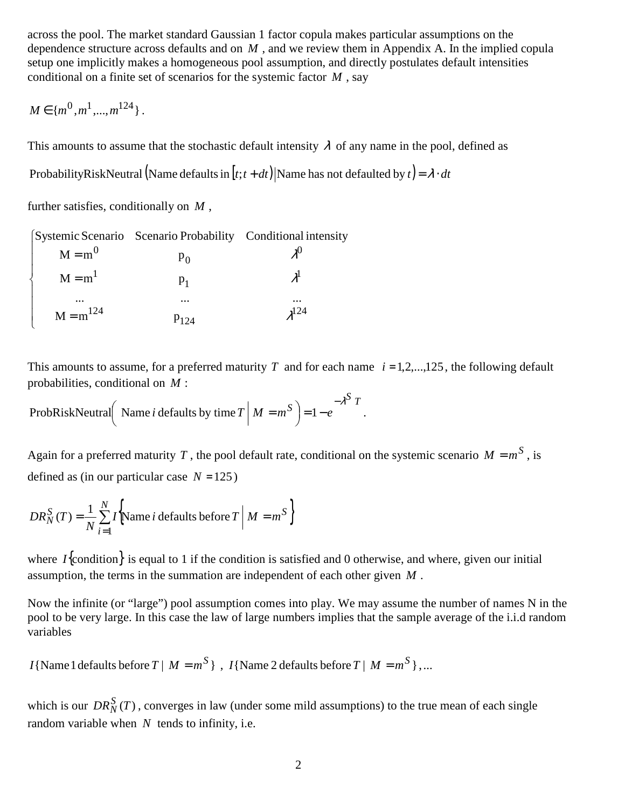across the pool. The market standard Gaussian 1 factor copula makes particular assumptions on the dependence structure across defaults and on *M* , and we review them in Appendix A. In the implied copula setup one implicitly makes a homogeneous pool assumption, and directly postulates default intensities conditional on a finite set of scenarios for the systemic factor *M* , say

$$
M \in \{m^0, m^1, ..., m^{124}\}.
$$

This amounts to assume that the stochastic default intensity  $\lambda$  of any name in the pool, defined as

ProbabilityRiskNeutral (Name defaults in  $[t; t + dt)$ ) Name has not defaulted by  $t = \lambda \cdot dt$ 

further satisfies, conditionally on *M* ,

|               | [Systemic Scenario Scenario Probability Conditional intensity |           |
|---------------|---------------------------------------------------------------|-----------|
| $M = m^0$     | $P_{\Omega}$                                                  |           |
| $M = m1$      |                                                               |           |
|               | $\cdots$                                                      | $\cdots$  |
| $M = m^{124}$ | $P_{124}$                                                     | $2^{124}$ |

This amounts to assume, for a preferred maturity *T* and for each name  $i = 1, 2, \ldots, 125$ , the following default probabilities, conditional on *M* :

*T S* ProbRiskNeutral Name *i* defaults by time  $T \mid M = m^S$   $= 1 - e$  $-\lambda^2$  $= 1 -$ Name *i* defaults by time  $T \mid M = m^S$  = 1 –  $e^{-\lambda T}$ .

Again for a preferred maturity *T*, the pool default rate, conditional on the systemic scenario  $M = m^S$ , is defined as (in our particular case  $N = 125$ )

$$
DR_N^S(T) = \frac{1}{N} \sum_{i=1}^N I\left(\text{Name } i \text{ defaults before } T \mid M = m^S\right)
$$

where  $I$ {condition} is equal to 1 if the condition is satisfied and 0 otherwise, and where, given our initial assumption, the terms in the summation are independent of each other given *M* .

Now the infinite (or "large") pool assumption comes into play. We may assume the number of names N in the pool to be very large. In this case the law of large numbers implies that the sample average of the i.i.d random variables

 $I\{\text{Name } 1 \text{ defaults before } T \mid M = m^S \}$ ,  $I\{\text{Name } 2 \text{ defaults before } T \mid M = m^S \}$ ,...

which is our  $DR_N^S(T)$ , converges in law (under some mild assumptions) to the true mean of each single random variable when *N* tends to infinity, i.e.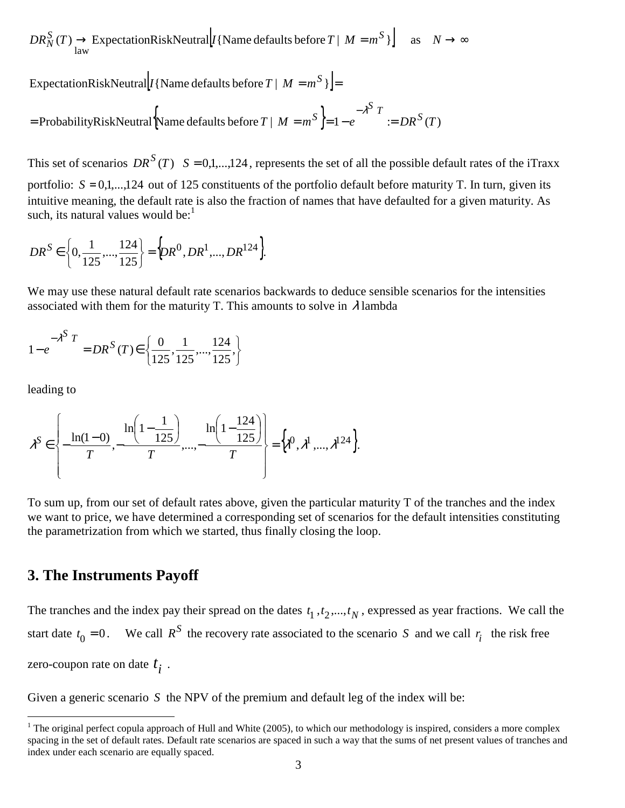$DR_N^S(T) \to \text{ExpectationRiskNeutral} [I\{\text{Name defaults before } T \mid M = m^S \}]$  as  $N \to \infty$ 

ExpectationRiskNeutral  $I$ {Name defaults before  $T | M = m^S$ }  $=$ 

ProbabilityRiskNeutral  $\left\{\text{Name defaults before } T \mid M = m^S \right\} = 1 - e^{-\lambda^S T} := DR^S(T)$ = ProbabilityRiskNeutral Name defaults before  $T \mid M = m^S \models 1 - e^{m \cdot T} \models$ −λ

This set of scenarios  $DR^{S}(T)$   $S = 0,1,...,124$ , represents the set of all the possible default rates of the iTraxx portfolio:  $S = 0, 1, \ldots, 124$  out of 125 constituents of the portfolio default before maturity T. In turn, given its intuitive meaning, the default rate is also the fraction of names that have defaulted for a given maturity. As such, its natural values would be: $<sup>1</sup>$ </sup>

$$
DR^{S} \in \left\{0, \frac{1}{125}, ..., \frac{124}{125}\right\} = \left\{DR^{0}, DR^{1}, ..., DR^{124}\right\}.
$$

We may use these natural default rate scenarios backwards to deduce sensible scenarios for the intensities associated with them for the maturity T. This amounts to solve in  $\lambda$  lambda

$$
1 - e^{-\lambda^{S} T} = DR^{S} (T) \in \left\{ \frac{0}{125}, \frac{1}{125}, \dots, \frac{124}{125} \right\}
$$

leading to

-

$$
\lambda^{S} \in \left\{ -\frac{\ln(1-0)}{T}, -\frac{\ln\left(1-\frac{1}{125}\right)}{T}, \dots, -\frac{\ln\left(1-\frac{124}{125}\right)}{T} \right\} = \left\{ \lambda^{0}, \lambda^{1}, \dots, \lambda^{124} \right\}.
$$

To sum up, from our set of default rates above, given the particular maturity T of the tranches and the index we want to price, we have determined a corresponding set of scenarios for the default intensities constituting the parametrization from which we started, thus finally closing the loop.

#### **3. The Instruments Payoff**

The tranches and the index pay their spread on the dates  $t_1, t_2, ..., t_N$ , expressed as year fractions. We call the start date  $t_0 = 0$ . We call  $R^S$  the recovery rate associated to the scenario *S* and we call  $r_i$  the risk free zero-coupon rate on date *i t* .

Given a generic scenario *S* the NPV of the premium and default leg of the index will be:

 $1$  The original perfect copula approach of Hull and White (2005), to which our methodology is inspired, considers a more complex spacing in the set of default rates. Default rate scenarios are spaced in such a way that the sums of net present values of tranches and index under each scenario are equally spaced.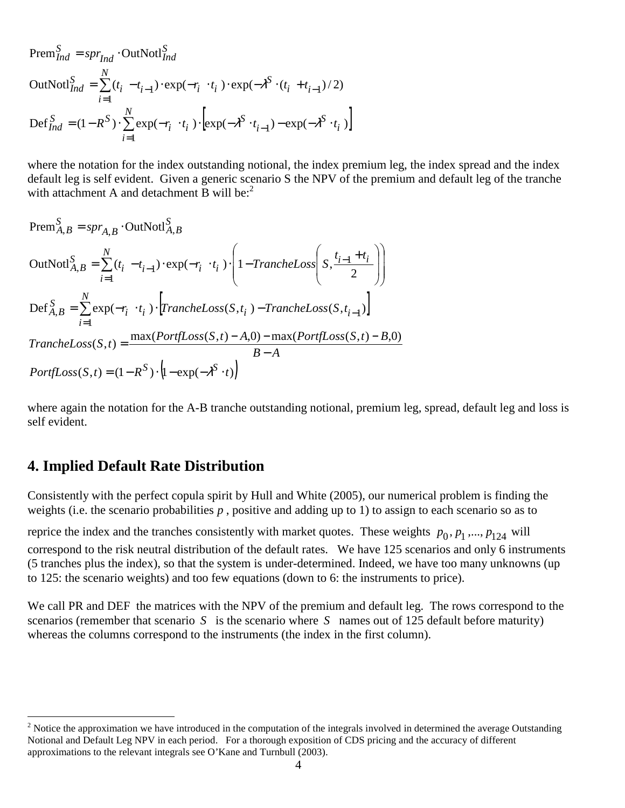$$
\begin{aligned} \text{Prem}_{Ind}^{S} &= spr_{Ind} \cdot \text{OutNotl}_{Ind}^{S} \\ \text{OutNotl}_{Ind}^{S} &= \sum_{i=1}^{N} (t_i - t_{i-1}) \cdot \exp(-r_i \cdot t_i) \cdot \exp(-\lambda^{S} \cdot (t_i + t_{i-1})/2) \\ \text{Def}_{Ind}^{S} &= (1 - R^{S}) \cdot \sum_{i=1}^{N} \exp(-r_i \cdot t_i) \cdot \left[ \exp(-\lambda^{S} \cdot t_{i-1}) - \exp(-\lambda^{S} \cdot t_i) \right] \end{aligned}
$$

where the notation for the index outstanding notional, the index premium leg, the index spread and the index default leg is self evident. Given a generic scenario S the NPV of the premium and default leg of the tranche with attachment A and detachment B will be:<sup>2</sup>

$$
\begin{aligned}\n\text{Prem}_{A,B}^{S} &= spr_{A,B} \cdot \text{OutNotl}_{A,B}^{S} \\
\text{OutNotl}_{A,B}^{S} &= \sum_{i=1}^{N} (t_i - t_{i-1}) \cdot \exp(-r_i \cdot t_i) \cdot \left( 1 - \text{TrancheLoss} \left( S, \frac{t_{i-1} + t_i}{2} \right) \right) \\
\text{Def}_{A,B}^{S} &= \sum_{i=1}^{N} \exp(-r_i \cdot t_i) \cdot \left[ \text{TrancheLoss}(S, t_i) - \text{TrancheLoss}(S, t_{i-1}) \right] \\
\text{TrancheLoss}(S, t) &= \frac{\max(\text{PortfLoss}(S, t) - A, 0) - \max(\text{PortfLoss}(S, t) - B, 0)}{B - A} \\
\text{PortfLoss}(S, t) &= (1 - R^S) \cdot \left( 1 - \exp(-\lambda^S \cdot t) \right)\n\end{aligned}
$$

where again the notation for the A-B tranche outstanding notional, premium leg, spread, default leg and loss is self evident.

#### **4. Implied Default Rate Distribution**

Consistently with the perfect copula spirit by Hull and White (2005), our numerical problem is finding the weights (i.e. the scenario probabilities p, positive and adding up to 1) to assign to each scenario so as to

reprice the index and the tranches consistently with market quotes. These weights  $p_0, p_1, ..., p_{124}$  will

correspond to the risk neutral distribution of the default rates. We have 125 scenarios and only 6 instruments (5 tranches plus the index), so that the system is under-determined. Indeed, we have too many unknowns (up to 125: the scenario weights) and too few equations (down to 6: the instruments to price).

We call PR and DEF the matrices with the NPV of the premium and default leg. The rows correspond to the scenarios (remember that scenario *S* is the scenario where *S* names out of 125 default before maturity) whereas the columns correspond to the instruments (the index in the first column).

<sup>&</sup>lt;sup>2</sup> Notice the approximation we have introduced in the computation of the integrals involved in determined the average Outstanding Notional and Default Leg NPV in each period. For a thorough exposition of CDS pricing and the accuracy of different approximations to the relevant integrals see O'Kane and Turnbull (2003).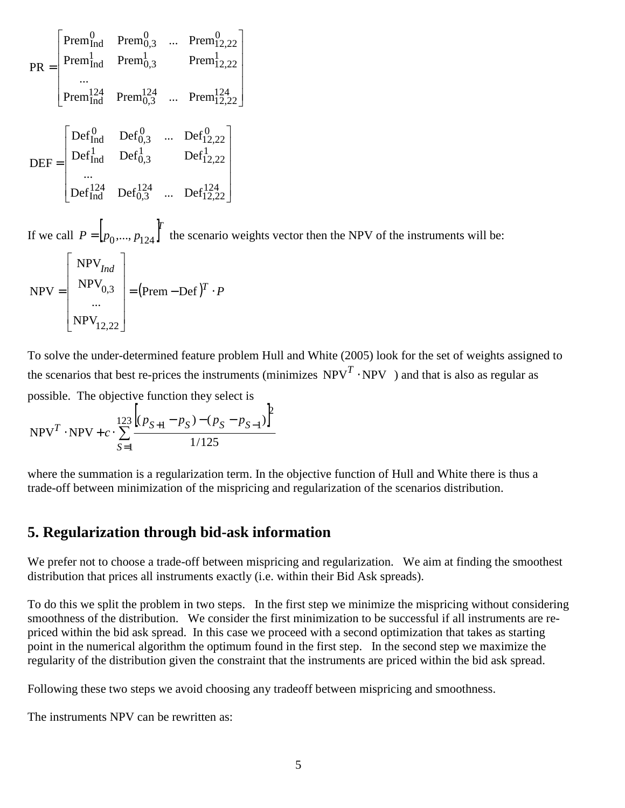$$
PR = \begin{bmatrix} Prem_{Ind}^{0} & Prem_{0,3}^{0} & ... & Prem_{12,22}^{0} \n\end{bmatrix}
$$
  
\n
$$
PR = \begin{bmatrix} Prem_{Ind}^{1} & Prem_{0,3}^{1} & ... & Prem_{12,22}^{1} \n\end{bmatrix}
$$
  
\n...  
\n
$$
DEF = \begin{bmatrix} Def_{Ind}^{0} & Def_{0,3}^{0} & ... & Def_{12,22}^{0} \n\end{bmatrix}
$$
  
\n...  
\n
$$
Def_{Ind}^{124} & Def_{0,3}^{124} & ... & Def_{12,22}^{124} \n\end{bmatrix}
$$
  
\n...  
\n
$$
Def_{Ind}^{124} & Def_{0,3}^{124} & ... & Def_{12,22}^{124} \n\end{bmatrix}
$$

If we call  $P = [p_0, ..., p_{124}]$ *T*  $P = [p_0, ..., p_{124}]$  the scenario weights vector then the NPV of the instruments will be:

$$
NPV = \begin{bmatrix} NPV_{Ind} \\ NPV_{0,3} \\ \dots \\ NPV_{12,22} \end{bmatrix} = (Prem - Def)^{T} \cdot P
$$

To solve the under-determined feature problem Hull and White (2005) look for the set of weights assigned to the scenarios that best re-prices the instruments (minimizes  $NPV^T \cdot NPV$ ) and that is also as regular as possible. The objective function they select is

NPV<sup>T</sup> · NPV + c · 
$$
\sum_{S=1}^{123} \frac{\left[ (p_{S+1} - p_S) - (p_S - p_{S-1}) \right]^2}{1/125}
$$

where the summation is a regularization term. In the objective function of Hull and White there is thus a trade-off between minimization of the mispricing and regularization of the scenarios distribution.

#### **5. Regularization through bid-ask information**

We prefer not to choose a trade-off between mispricing and regularization. We aim at finding the smoothest distribution that prices all instruments exactly (i.e. within their Bid Ask spreads).

To do this we split the problem in two steps. In the first step we minimize the mispricing without considering smoothness of the distribution. We consider the first minimization to be successful if all instruments are repriced within the bid ask spread. In this case we proceed with a second optimization that takes as starting point in the numerical algorithm the optimum found in the first step. In the second step we maximize the regularity of the distribution given the constraint that the instruments are priced within the bid ask spread.

Following these two steps we avoid choosing any tradeoff between mispricing and smoothness.

The instruments NPV can be rewritten as: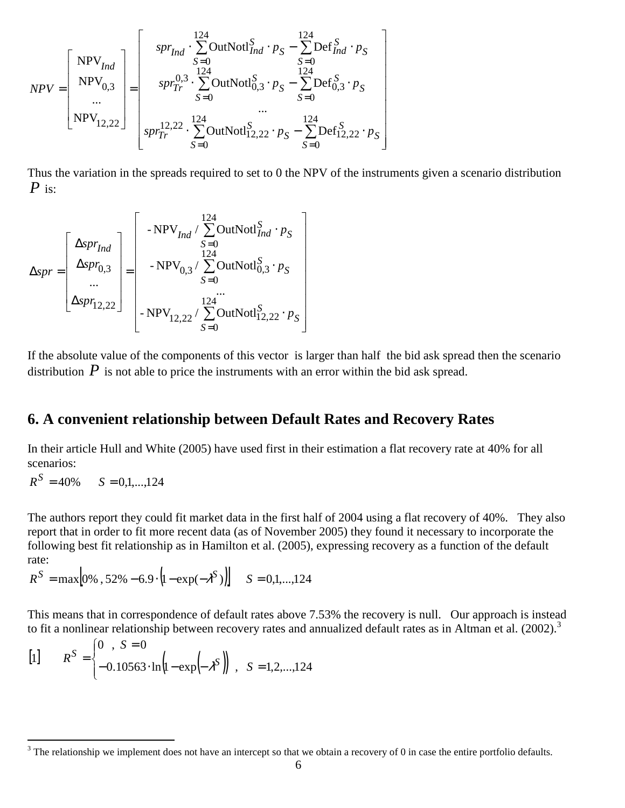$$
NPV = \begin{bmatrix} NPV_{Ind} \\ NPV_{0,3} \\ ... \\ NPV_{12,22} \end{bmatrix} = \begin{bmatrix} spr_{Ind} \cdot \sum_{S=0}^{124} OutNotl_{Ind}^{S} \cdot p_{S} - \sum_{S=0}^{124} Def_{Ind}^{S} \cdot p_{S} \\ spr_{Tr}^{0,3} \cdot \sum_{S=0}^{124} OutNotl_{0,3}^{S} \cdot p_{S} - \sum_{S=0}^{124} Def_{0,3}^{S} \cdot p_{S} \\ ... \\ spr_{Tr}^{12,22} \cdot \sum_{S=0}^{124} OutNotl_{12,22}^{S} \cdot p_{S} - \sum_{S=0}^{124} Def_{12,22}^{S} \cdot p_{S} \end{bmatrix}
$$

Thus the variation in the spreads required to set to 0 the NPV of the instruments given a scenario distribution *P* is:

$$
\Delta spr = \begin{bmatrix}\n\Delta spr_{Ind} \\
\Delta spr_{0,3} \\
\vdots \\
\Delta spr_{12,22}\n\end{bmatrix} = \begin{bmatrix}\n\text{NPV}_{Ind} / \sum_{S=0}^{124} \text{OutNotl}_{Ind}^{S} \cdot p_{S} \\
\text{NPV}_{0,3} / \sum_{S=0}^{124} \text{OutNotl}_{0,3}^{S} \cdot p_{S} \\
\vdots \\
\text{NPV}_{12,22} / \sum_{S=0}^{124} \text{OutNotl}_{12,22}^{S} \cdot p_{S}\n\end{bmatrix}
$$

If the absolute value of the components of this vector is larger than half the bid ask spread then the scenario distribution  $P$  is not able to price the instruments with an error within the bid ask spread.

## **6. A convenient relationship between Default Rates and Recovery Rates**

In their article Hull and White (2005) have used first in their estimation a flat recovery rate at 40% for all scenarios:

 $R^S = 40\%$  *S* = 0,1,...,124

<u>.</u>

The authors report they could fit market data in the first half of 2004 using a flat recovery of 40%. They also report that in order to fit more recent data (as of November 2005) they found it necessary to incorporate the following best fit relationship as in Hamilton et al. (2005), expressing recovery as a function of the default rate:

$$
R^{S} = \max[0\%, 52\% - 6.9 \cdot (1 - \exp(-\lambda^{S}))\] \quad S = 0, 1, ..., 124
$$

This means that in correspondence of default rates above 7.53% the recovery is null. Our approach is instead to fit a nonlinear relationship between recovery rates and annualized default rates as in Altman et al.  $(2002)$ .<sup>3</sup>

[1] 
$$
R^S = \begin{cases} 0, S = 0 \\ -0.10563 \cdot \ln(1 - \exp(-\lambda^S)), S = 1, 2, ..., 124 \end{cases}
$$

 $3$  The relationship we implement does not have an intercept so that we obtain a recovery of 0 in case the entire portfolio defaults.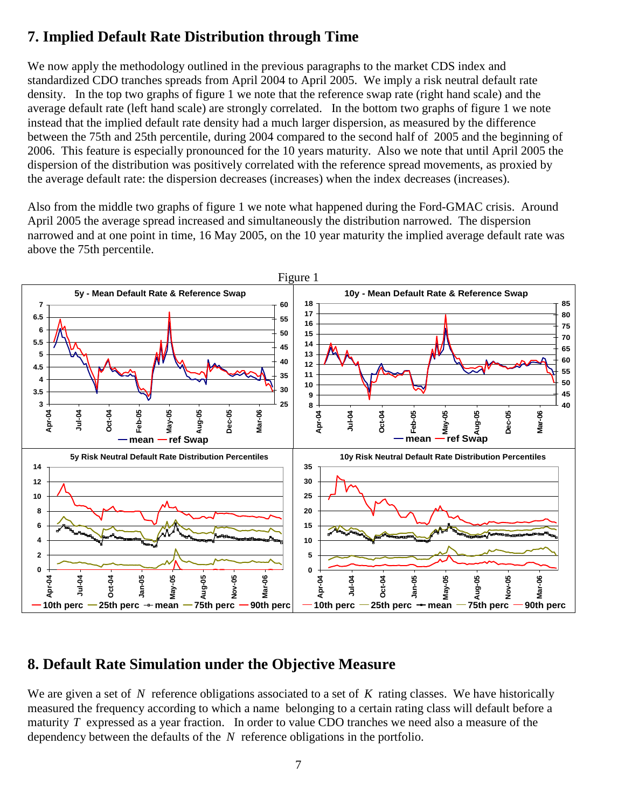# **7. Implied Default Rate Distribution through Time**

We now apply the methodology outlined in the previous paragraphs to the market CDS index and standardized CDO tranches spreads from April 2004 to April 2005. We imply a risk neutral default rate density. In the top two graphs of figure 1 we note that the reference swap rate (right hand scale) and the average default rate (left hand scale) are strongly correlated. In the bottom two graphs of figure 1 we note instead that the implied default rate density had a much larger dispersion, as measured by the difference between the 75th and 25th percentile, during 2004 compared to the second half of 2005 and the beginning of 2006. This feature is especially pronounced for the 10 years maturity. Also we note that until April 2005 the dispersion of the distribution was positively correlated with the reference spread movements, as proxied by the average default rate: the dispersion decreases (increases) when the index decreases (increases).

Also from the middle two graphs of figure 1 we note what happened during the Ford-GMAC crisis. Around April 2005 the average spread increased and simultaneously the distribution narrowed. The dispersion narrowed and at one point in time, 16 May 2005, on the 10 year maturity the implied average default rate was above the 75th percentile.



## **8. Default Rate Simulation under the Objective Measure**

We are given a set of N reference obligations associated to a set of K rating classes. We have historically measured the frequency according to which a name belonging to a certain rating class will default before a maturity *T* expressed as a year fraction. In order to value CDO tranches we need also a measure of the dependency between the defaults of the *N* reference obligations in the portfolio.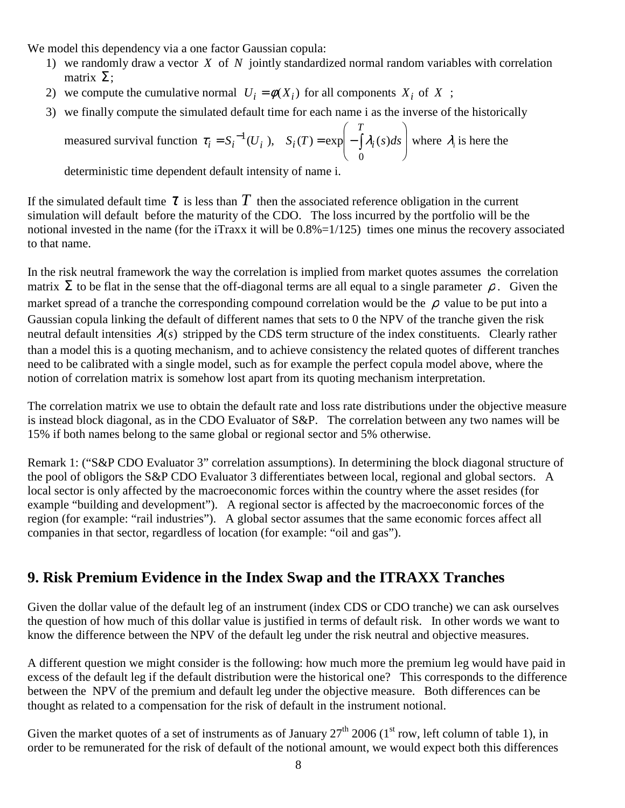We model this dependency via a one factor Gaussian copula:

- 1) we randomly draw a vector *X* of *N* jointly standardized normal random variables with correlation matrix  $\Sigma$ ;
- 2) we compute the cumulative normal  $U_i = \phi(X_i)$  for all components  $X_i$  of  $X$ ;
- 3) we finally compute the simulated default time for each name i as the inverse of the historically

measured survival function 
$$
\tau_i = S_i^{-1}(U_i)
$$
,  $S_i(T) = \exp\left(-\int_0^T \lambda_i(s)ds\right)$  where  $\lambda_i$  is here the

deterministic time dependent default intensity of name i.

If the simulated default time  $\tau$  is less than  $T$  then the associated reference obligation in the current simulation will default before the maturity of the CDO. The loss incurred by the portfolio will be the notional invested in the name (for the iTraxx it will be  $0.8\% = 1/125$ ) times one minus the recovery associated to that name.

In the risk neutral framework the way the correlation is implied from market quotes assumes the correlation matrix  $\Sigma$  to be flat in the sense that the off-diagonal terms are all equal to a single parameter  $\rho$ . Given the market spread of a tranche the corresponding compound correlation would be the  $\rho$  value to be put into a Gaussian copula linking the default of different names that sets to 0 the NPV of the tranche given the risk neutral default intensities  $\lambda(s)$  stripped by the CDS term structure of the index constituents. Clearly rather than a model this is a quoting mechanism, and to achieve consistency the related quotes of different tranches need to be calibrated with a single model, such as for example the perfect copula model above, where the notion of correlation matrix is somehow lost apart from its quoting mechanism interpretation.

The correlation matrix we use to obtain the default rate and loss rate distributions under the objective measure is instead block diagonal, as in the CDO Evaluator of S&P. The correlation between any two names will be 15% if both names belong to the same global or regional sector and 5% otherwise.

Remark 1: ("S&P CDO Evaluator 3" correlation assumptions). In determining the block diagonal structure of the pool of obligors the S&P CDO Evaluator 3 differentiates between local, regional and global sectors. A local sector is only affected by the macroeconomic forces within the country where the asset resides (for example "building and development"). A regional sector is affected by the macroeconomic forces of the region (for example: "rail industries"). A global sector assumes that the same economic forces affect all companies in that sector, regardless of location (for example: "oil and gas").

# **9. Risk Premium Evidence in the Index Swap and the ITRAXX Tranches**

Given the dollar value of the default leg of an instrument (index CDS or CDO tranche) we can ask ourselves the question of how much of this dollar value is justified in terms of default risk. In other words we want to know the difference between the NPV of the default leg under the risk neutral and objective measures.

A different question we might consider is the following: how much more the premium leg would have paid in excess of the default leg if the default distribution were the historical one? This corresponds to the difference between the NPV of the premium and default leg under the objective measure. Both differences can be thought as related to a compensation for the risk of default in the instrument notional.

Given the market quotes of a set of instruments as of January  $27<sup>th</sup>$  2006 (1<sup>st</sup> row, left column of table 1), in order to be remunerated for the risk of default of the notional amount, we would expect both this differences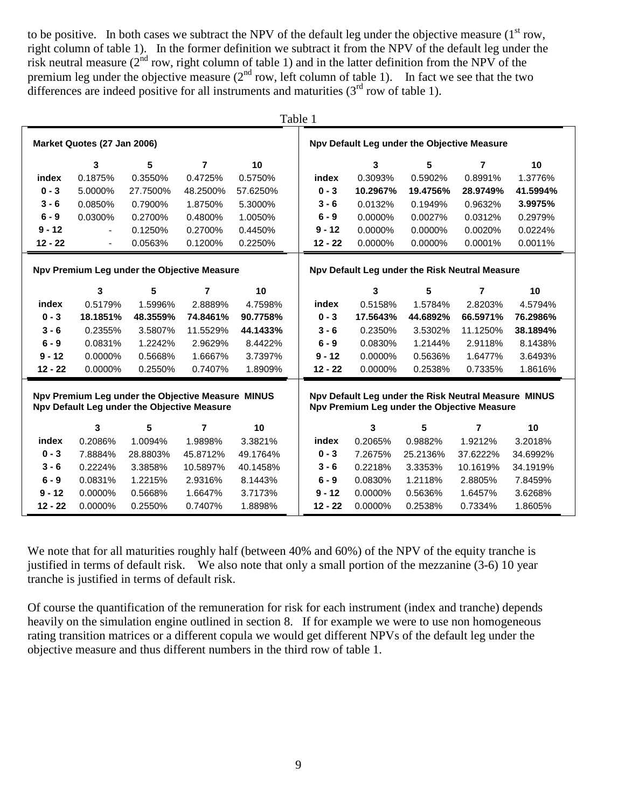to be positive. In both cases we subtract the NPV of the default leg under the objective measure  $(1<sup>st</sup> row,$ right column of table 1). In the former definition we subtract it from the NPV of the default leg under the risk neutral measure ( $2<sup>nd</sup>$  row, right column of table 1) and in the latter definition from the NPV of the premium leg under the objective measure  $(2<sup>nd</sup> row, left column of table 1)$ . In fact we see that the two differences are indeed positive for all instruments and maturities  $(3<sup>rd</sup>$  row of table 1).

|                                                                                                                                                                                                         |                                             |          |                |                                             | Table 1   |                                                |          |                |          |  |
|---------------------------------------------------------------------------------------------------------------------------------------------------------------------------------------------------------|---------------------------------------------|----------|----------------|---------------------------------------------|-----------|------------------------------------------------|----------|----------------|----------|--|
| Market Quotes (27 Jan 2006)                                                                                                                                                                             |                                             |          |                | Npv Default Leg under the Objective Measure |           |                                                |          |                |          |  |
|                                                                                                                                                                                                         | 3                                           | 5        | $\overline{7}$ | 10                                          |           | 3                                              | 5        | 7              | 10       |  |
| index                                                                                                                                                                                                   | 0.1875%                                     | 0.3550%  | 0.4725%        | 0.5750%                                     | index     | 0.3093%                                        | 0.5902%  | 0.8991%        | 1.3776%  |  |
| $0 - 3$                                                                                                                                                                                                 | 5.0000%                                     | 27.7500% | 48.2500%       | 57.6250%                                    | $0 - 3$   | 10.2967%                                       | 19.4756% | 28.9749%       | 41.5994% |  |
| $3 - 6$                                                                                                                                                                                                 | 0.0850%                                     | 0.7900%  | 1.8750%        | 5.3000%                                     | $3 - 6$   | 0.0132%                                        | 0.1949%  | 0.9632%        | 3.9975%  |  |
| $6 - 9$                                                                                                                                                                                                 | 0.0300%                                     | 0.2700%  | 0.4800%        | 1.0050%                                     | $6 - 9$   | 0.0000%                                        | 0.0027%  | 0.0312%        | 0.2979%  |  |
| $9 - 12$                                                                                                                                                                                                |                                             | 0.1250%  | 0.2700%        | 0.4450%                                     | $9 - 12$  | 0.0000%                                        | 0.0000%  | 0.0020%        | 0.0224%  |  |
| $12 - 22$                                                                                                                                                                                               | $\overline{\phantom{0}}$                    | 0.0563%  | 0.1200%        | 0.2250%                                     | $12 - 22$ | 0.0000%                                        | 0.0000%  | 0.0001%        | 0.0011%  |  |
|                                                                                                                                                                                                         | Npv Premium Leg under the Objective Measure |          |                |                                             |           | Npv Default Leg under the Risk Neutral Measure |          |                |          |  |
|                                                                                                                                                                                                         | 3                                           | 5        | 7              | 10                                          |           | 3                                              | 5        | $\overline{7}$ | 10       |  |
| index                                                                                                                                                                                                   | 0.5179%                                     | 1.5996%  | 2.8889%        | 4.7598%                                     | index     | 0.5158%                                        | 1.5784%  | 2.8203%        | 4.5794%  |  |
| $0 - 3$                                                                                                                                                                                                 | 18.1851%                                    | 48.3559% | 74.8461%       | 90.7758%                                    | $0 - 3$   | 17.5643%                                       | 44.6892% | 66.5971%       | 76.2986% |  |
| $3 - 6$                                                                                                                                                                                                 | 0.2355%                                     | 3.5807%  | 11.5529%       | 44.1433%                                    | $3 - 6$   | 0.2350%                                        | 3.5302%  | 11.1250%       | 38.1894% |  |
| $6 - 9$                                                                                                                                                                                                 | 0.0831%                                     | 1.2242%  | 2.9629%        | 8.4422%                                     | $6 - 9$   | 0.0830%                                        | 1.2144%  | 2.9118%        | 8.1438%  |  |
| $9 - 12$                                                                                                                                                                                                | 0.0000%                                     | 0.5668%  | 1.6667%        | 3.7397%                                     | $9 - 12$  | 0.0000%                                        | 0.5636%  | 1.6477%        | 3.6493%  |  |
| $12 - 22$                                                                                                                                                                                               | 0.0000%                                     | 0.2550%  | 0.7407%        | 1.8909%                                     | $12 - 22$ | 0.0000%                                        | 0.2538%  | 0.7335%        | 1.8616%  |  |
| Npv Premium Leg under the Objective Measure MINUS<br>Npv Default Leg under the Risk Neutral Measure MINUS<br>Npv Default Leg under the Objective Measure<br>Npv Premium Leg under the Objective Measure |                                             |          |                |                                             |           |                                                |          |                |          |  |
|                                                                                                                                                                                                         | 3                                           | 5        | $\overline{7}$ | 10                                          |           | 3                                              | 5        | $\overline{7}$ | 10       |  |
| index                                                                                                                                                                                                   | 0.2086%                                     | 1.0094%  | 1.9898%        | 3.3821%                                     | index     | 0.2065%                                        | 0.9882%  | 1.9212%        | 3.2018%  |  |
| $0 - 3$                                                                                                                                                                                                 | 7.8884%                                     | 28.8803% | 45.8712%       | 49.1764%                                    | $0 - 3$   | 7.2675%                                        | 25.2136% | 37.6222%       | 34.6992% |  |
| $3 - 6$                                                                                                                                                                                                 | 0.2224%                                     | 3.3858%  | 10.5897%       | 40.1458%                                    | $3 - 6$   | 0.2218%                                        | 3.3353%  | 10.1619%       | 34.1919% |  |
| $6 - 9$                                                                                                                                                                                                 | 0.0831%                                     | 1.2215%  | 2.9316%        | 8.1443%                                     | $6 - 9$   | 0.0830%                                        | 1.2118%  | 2.8805%        | 7.8459%  |  |
| $9 - 12$                                                                                                                                                                                                | 0.0000%                                     | 0.5668%  | 1.6647%        | 3.7173%                                     | $9 - 12$  | 0.0000%                                        | 0.5636%  | 1.6457%        | 3.6268%  |  |
| $12 - 22$                                                                                                                                                                                               | 0.0000%                                     | 0.2550%  | 0.7407%        | 1.8898%                                     | $12 - 22$ | 0.0000%                                        | 0.2538%  | 0.7334%        | 1.8605%  |  |

We note that for all maturities roughly half (between 40% and 60%) of the NPV of the equity tranche is justified in terms of default risk. We also note that only a small portion of the mezzanine (3-6) 10 year tranche is justified in terms of default risk.

Of course the quantification of the remuneration for risk for each instrument (index and tranche) depends heavily on the simulation engine outlined in section 8. If for example we were to use non homogeneous rating transition matrices or a different copula we would get different NPVs of the default leg under the objective measure and thus different numbers in the third row of table 1.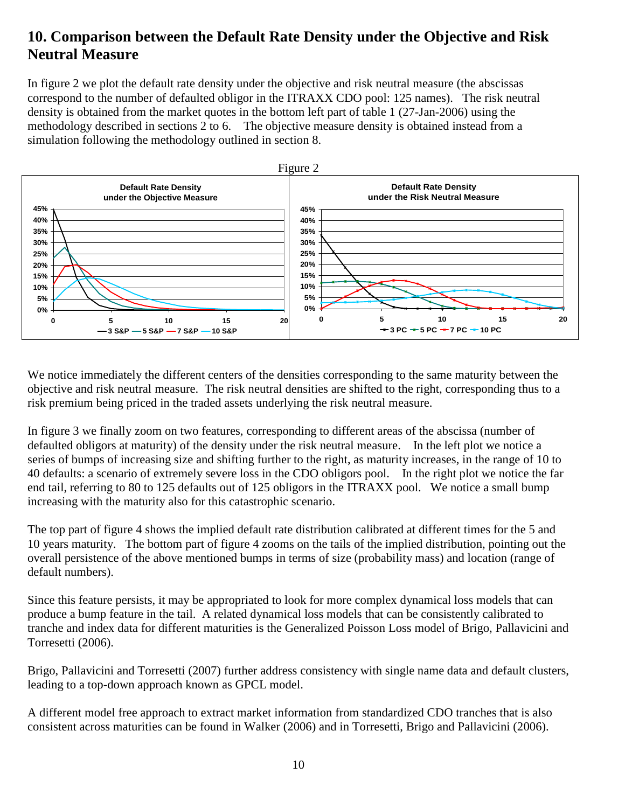# **10. Comparison between the Default Rate Density under the Objective and Risk Neutral Measure**

In figure 2 we plot the default rate density under the objective and risk neutral measure (the abscissas correspond to the number of defaulted obligor in the ITRAXX CDO pool: 125 names). The risk neutral density is obtained from the market quotes in the bottom left part of table 1 (27-Jan-2006) using the methodology described in sections 2 to 6. The objective measure density is obtained instead from a simulation following the methodology outlined in section 8.



We notice immediately the different centers of the densities corresponding to the same maturity between the objective and risk neutral measure. The risk neutral densities are shifted to the right, corresponding thus to a risk premium being priced in the traded assets underlying the risk neutral measure.

In figure 3 we finally zoom on two features, corresponding to different areas of the abscissa (number of defaulted obligors at maturity) of the density under the risk neutral measure. In the left plot we notice a series of bumps of increasing size and shifting further to the right, as maturity increases, in the range of 10 to 40 defaults: a scenario of extremely severe loss in the CDO obligors pool. In the right plot we notice the far end tail, referring to 80 to 125 defaults out of 125 obligors in the ITRAXX pool. We notice a small bump increasing with the maturity also for this catastrophic scenario.

The top part of figure 4 shows the implied default rate distribution calibrated at different times for the 5 and 10 years maturity. The bottom part of figure 4 zooms on the tails of the implied distribution, pointing out the overall persistence of the above mentioned bumps in terms of size (probability mass) and location (range of default numbers).

Since this feature persists, it may be appropriated to look for more complex dynamical loss models that can produce a bump feature in the tail. A related dynamical loss models that can be consistently calibrated to tranche and index data for different maturities is the Generalized Poisson Loss model of Brigo, Pallavicini and Torresetti (2006).

Brigo, Pallavicini and Torresetti (2007) further address consistency with single name data and default clusters, leading to a top-down approach known as GPCL model.

A different model free approach to extract market information from standardized CDO tranches that is also consistent across maturities can be found in Walker (2006) and in Torresetti, Brigo and Pallavicini (2006).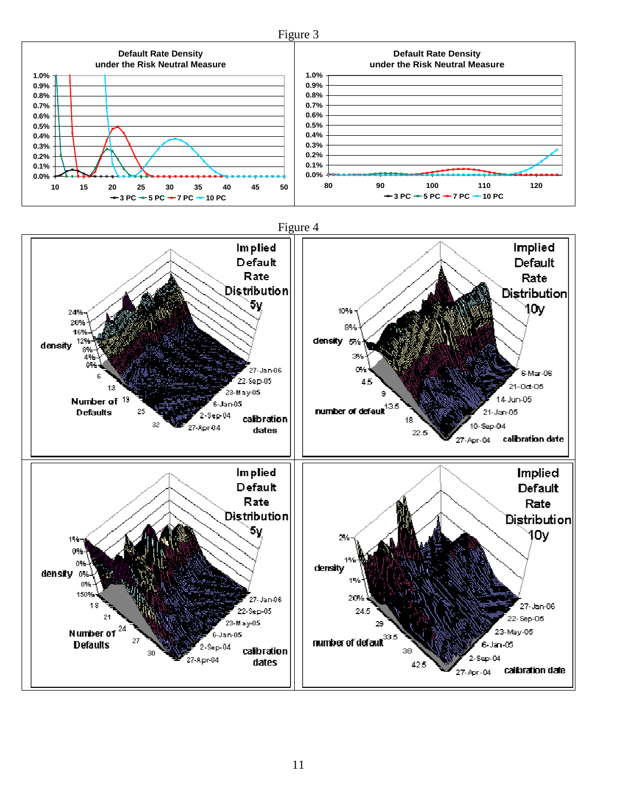

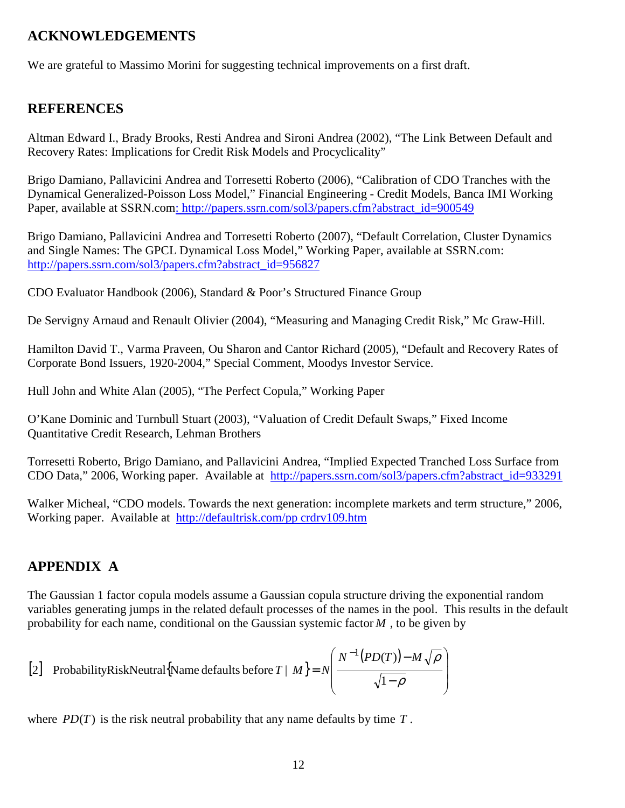## **ACKNOWLEDGEMENTS**

We are grateful to Massimo Morini for suggesting technical improvements on a first draft.

## **REFERENCES**

Altman Edward I., Brady Brooks, Resti Andrea and Sironi Andrea (2002), "The Link Between Default and Recovery Rates: Implications for Credit Risk Models and Procyclicality"

Brigo Damiano, Pallavicini Andrea and Torresetti Roberto (2006), "Calibration of CDO Tranches with the Dynamical Generalized-Poisson Loss Model," Financial Engineering - Credit Models, Banca IMI Working Paper, available at SSRN.com: http://papers.ssrn.com/sol3/papers.cfm?abstract\_id=900549

Brigo Damiano, Pallavicini Andrea and Torresetti Roberto (2007), "Default Correlation, Cluster Dynamics and Single Names: The GPCL Dynamical Loss Model," Working Paper, available at SSRN.com: http://papers.ssrn.com/sol3/papers.cfm?abstract\_id=956827

CDO Evaluator Handbook (2006), Standard & Poor's Structured Finance Group

De Servigny Arnaud and Renault Olivier (2004), "Measuring and Managing Credit Risk," Mc Graw-Hill.

Hamilton David T., Varma Praveen, Ou Sharon and Cantor Richard (2005), "Default and Recovery Rates of Corporate Bond Issuers, 1920-2004," Special Comment, Moodys Investor Service.

Hull John and White Alan (2005), "The Perfect Copula," Working Paper

O'Kane Dominic and Turnbull Stuart (2003), "Valuation of Credit Default Swaps," Fixed Income Quantitative Credit Research, Lehman Brothers

Torresetti Roberto, Brigo Damiano, and Pallavicini Andrea, "Implied Expected Tranched Loss Surface from CDO Data," 2006, Working paper. Available at http://papers.ssrn.com/sol3/papers.cfm?abstract\_id=933291

Walker Micheal, "CDO models. Towards the next generation: incomplete markets and term structure," 2006, Working paper. Available at http://defaultrisk.com/pp crdrv109.htm

## **APPENDIX A**

The Gaussian 1 factor copula models assume a Gaussian copula structure driving the exponential random variables generating jumps in the related default processes of the names in the pool. This results in the default probability for each name, conditional on the Gaussian systemic factor *M* , to be given by

[2] ProbabilityRiskNeutral{Name defaults before 
$$
T \mid M
$$
} =  $N \left( \frac{N^{-1}(PD(T)) - M\sqrt{\rho}}{\sqrt{1-\rho}} \right)$ 

where  $PD(T)$  is the risk neutral probability that any name defaults by time  $T$ .